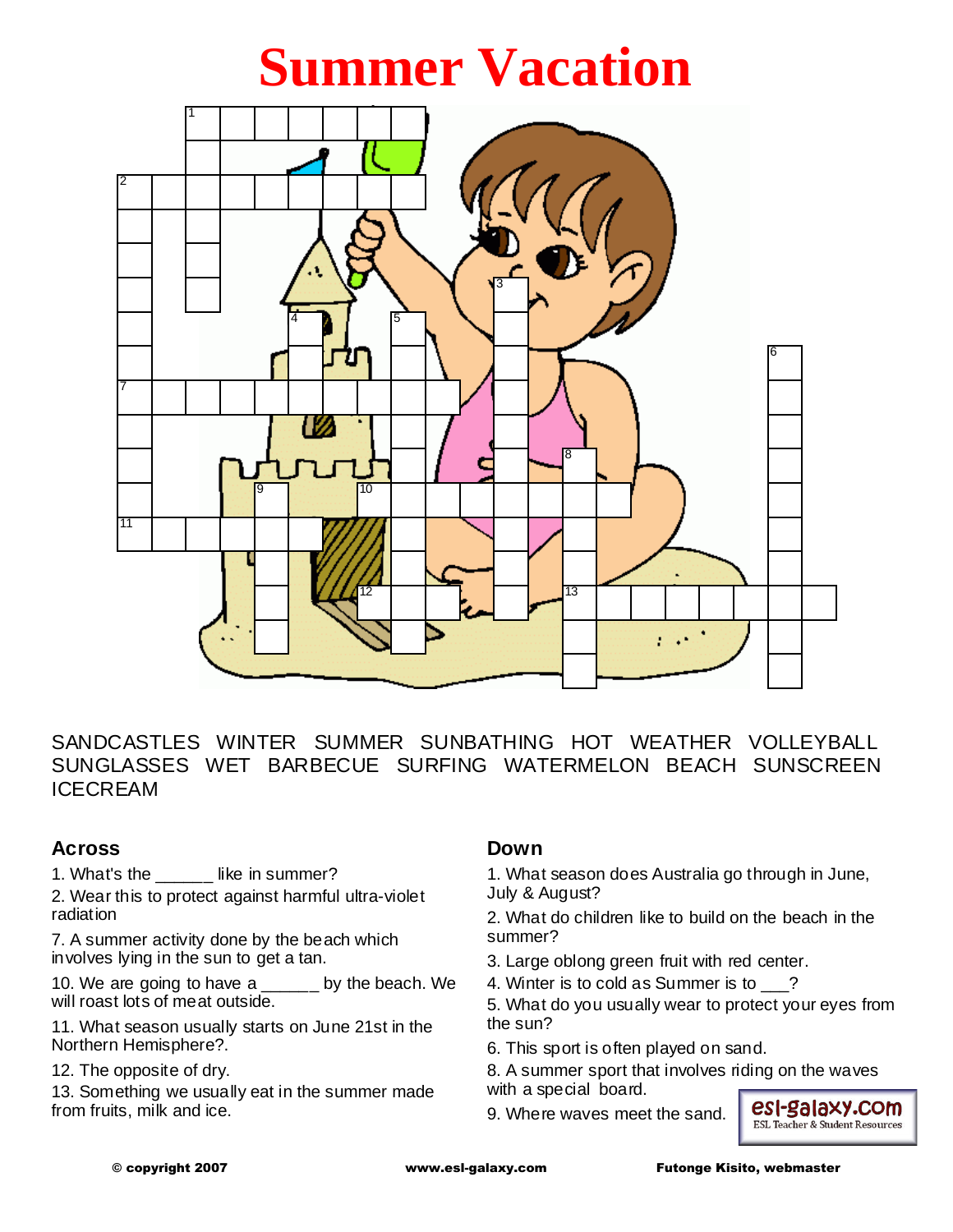# **Summer Vacation**



SANDCASTLES WINTER SUMMER SUNBATHING HOT WEATHER VOLLEYBALL SUNGLASSES WET BARBECUE SURFING WATERMELON BEACH SUNSCREEN ICECREAM

#### **Across**

1. What's the **like in summer?** 

2. Wear this to protect against harmful ultra-violet radiation

7. A summer activity done by the beach which involves lying in the sun to get a tan.

10. We are going to have a \_\_\_\_\_\_ by the beach. We will roast lots of meat outside.

11. What season usually starts on June 21st in the Northern Hemisphere?.

12. The opposite of dry.

13. Something we usually eat in the summer made from fruits, milk and ice.

### **Down**

1. What season does Australia go through in June, July & August?

2. What do children like to build on the beach in the summer?

- 3. Large oblong green fruit with red center.
- 4. Winter is to cold as Summer is to \_\_\_?

5. What do you usually wear to protect your eyes from the sun?

6. This sport is often played on sand.

8. A summer sport that involves riding on the waves with a special board.

9. Where waves meet the sand.

esI-galaxy.com **ESL Teacher & Student Resources**